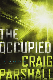# **CRA** TREVOR BLACK A

BCCUPIE

G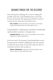## ADVANCE PRAISE FOR THE OCCUPIED

One of the greatest challenges for a writer is making the invisible world real. Craig Parshall has done exactly that. . . . If you're fascinated by the supernatural and how it exists in a moral universe, then this is the book for you.

**PHIL COOKE,** writer, filmmaker, and author of *One Big Thing: Discovering What You Were Born to Do*

Craig Parshall has combined gritty naturalism with believable supernaturalism to produce a real page-turner.

**WARREN SMITH,** author and vice president of the Colson Center for Christian Worldview

In his new novel, *The Occupied*, Craig Parshall takes us into the supernatural world for a thrilling ride that also educates us about the unseen realm. In the end we discover that it is crucial that we know who occupies us.

**KERBY ANDERSON,** president of Probe Ministries and host of *Point of View* radio talk show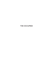### THE OCCUPIED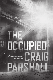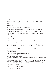Visit Tyndale online at www.tyndale.com.

*TYNDALE* and Tyndale's quill logo are registered trademarks of Tyndale House Publishers,  $Inc$ 

*The Occupied*

Copyright © 2016 by Craig Parshall. All rights reserved.

Cover photograph of silhouette copyright © Richard Rhyme/500px. All rights reserved.

Cover photograph of hall copyright © kamisoka/Getty Images. All rights reserved.

Author photograph copyright © 2016 Lauri M. Bridgeforth at Full Frame Photography. All rights reserved.

Designed by Dean H. Renninger

Edited by Caleb Sjogren

Published in association with the literary agency of AGI Vigliano Literary, 405 Park Avenue, Suite 1700, New York, NY 10022.

Scripture quotations are taken from the New American Standard Bible,<sup>®</sup> copyright © 1960, 1962, 1963, 1968, 1971, 1972, 1973, 1975, 1977, 1995 by The Lockman Foundation. Used by permission.

*The Occupied* is a work of fiction. Where real people, events, establishments, organizations, or locales appear, they are used fictitiously. All other elements of the novel are drawn from the author's imagination.

#### **Library of Congress Cataloging-in-Publication Data**

Names: Parshall, Craig, date, author. Title: The occupied / Craig Parshall. Description: Carol Stream, Illinois : Tyndale House Publishers, Inc., [2016] | Series: A Trevor Black novel Identifiers: LCCN 2016013003| ISBN 9781496419187 (hc) | ISBN 9781496411358 (sc) Subjects: LCSH: Paranormal fiction. | GSAFD: Suspense fiction. | Mystery fiction. Classification: LCC PS3616.A77 O28 2016 | DDC 813/.6—dc23 LC record available at <https://lccn.loc.gov/2016013003>

Printed in the United States of America

|  | 22 21 20 19 18 17 16 |  |  |
|--|----------------------|--|--|
|  | 7 6 5 4 3 2 1        |  |  |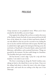### PROLOGUE

I keep monsters in my peripheral vision. When you've been attacked by the horribles, you never forget.

I lean against the railing of the car ferry as it plows the waves of the Pamlico Sound, the body of water protected from the full force of the Atlantic by a chain of white-sand barrier islands. I can only afford to close my eyes for a second or two, feeling the sun on my face and the wind moist with sea spray. My Mets cap is yanked down tight against the hard gusts blowing across the steel deck as I head back to Ocracoke Island, a place laced with fishermen, odd-jobbers, and occasional hurricanes. Things are peaceful for the moment. Yet that could change in a heartbeat. The horribles don't give much warning.

Life has become a razor's edge. I pray for a trip safe from mayhem. I am ready in case it isn't.

The ferry is motoring me along the North Carolina coast, taking me back to the island that is now my home. I lean over the railing, look down to where the water is the color of graygreen slate, and watch the sea curling as the ship cuts it into whitecaps.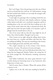But I can't linger. I have the growing sense that one of them may be on board this ferry with me. So I shift position, eyeing the deck stacked with vehicles so I can study the strangers milling along the guardrail.

I catch sight of a passenger who is standing toward the rear of the ferry. He is a tall man, wide of girth, unshaven, wearing a dirty denim work shirt over a mechanic's jumpsuit, and he is standing alone at the very end of the ferry, looking out to the waters of the sound, where the wake is churned into froth. He pulls back his head and spits loudly as he launches a gob of phlegm from his mouth down to the sea.

One of my senses tells me that this man might be one of them. One of the horribles. Though I can't be sure.

Then I notice on my right, along the railing, about twenty feet away from me, a mother and father with their boy. They are smiling and talking. The man says something to the woman, and she laughs generously and links arms with him.

The couple reminds me of the women I have known. Courtney, of course. The princess of excess and regret.

And the others. How can I not think about them after everything that has happened? Marilyn Parlow, the young love of my much younger life. The flirtatious, insulting, mysterious Marilyn.

And Ashley Linderman, the smart, gutsy detective I met recently during my harrowing return to my hometown, after being away so many years.

And of course, there is Heather. Whose life remains all but a mystery to me.

I glance over to the tall, wide man standing by himself at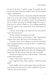the end of the ferry. I could be wrong. It's possible that the special sense I have about him might be due to the ferry's diesel engines, nothing more.

To my left, I also notice a young man along the railing who looks to be in his early twenties, and judging from his skulland-crossbones T-shirt, he is likely a tourist. Everything about him is in black—his pants, his shoulder-length hair, and, as I look closer, his eyeliner is black too. He is reading a paperback book that appears to be a paranormal novel, which grabs my attention.

I call out, loud enough to be heard over the wind and the water, "You into horror?"

"It's just vampires and demons and stuff."

"You say 'just' like it's a trivial thing," I reply. "Supernatural suspense, they call it. But I'd say *horror* describes it best."

"Describes what?" He is looking at me with his head tilted back, keeping his distance, treating me like I've morphed into a Komodo dragon.

I look straight at him. "You think dark forces are just a fantasy. The ones breaking through from the other side. Bringing death. Destruction. But that's exactly what they want us to think."

The kid snorts again and says, under his breath, "Dude, that sounds a little paranoid."

"Dude," I shoot back, "not if it's true."

I get a laugh from him. Then a question. "Dark forces, like what?"

I don't usually converse with strangers about invisible monsters, but he seems interested. So I feel compelled to lay it out. "Like the three mortal enemies."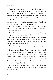"Wow." He takes a second. Then, "Okay. Three enemies . . ."

"I'm telling you something important," I warn him. Even as I say it, I know I must sound like a crackpot. But then again, who knows when the truth might break through to somebody? "First, there's the world, and all that's in it and all that we see, but also what we can't. Second, the flesh—all those desires, arrogances, strivings—when we let it rule us. Last, but definitely not least, there's the devil. That's in reverse threat level."

He looks out to the sea and then begins to open up the paperback to the page where he has his finger as a bookmark. "Good luck with that."

I decide not to verbalize what I am thinking. Which is, *Young man, luck has nothing to do with it.*

He drops his hand to his side, still clutching the paperback while he walks away, perhaps looking for his car parked on the deck of the ferry. Perhaps just wanting to get away from some kooky guy with a demon complex.

I scan the other passengers on the deck again, knowing any one of them may be harboring a monster.

It wasn't always like this. There was a time when I would carry professional business cards in a sterling-silver case tucked into the left pocket of one of my handmade Italian suits, just over my heart. The cards were heavy stock with black and gold embossing that read, "Trevor Black, Attorney-at-Law, Criminal Defense & Major Crimes," followed by the address of my law office on the Upper East Side.

But no more. If I handed out those cards to people now, I could be arrested. The Dunning Kamera murder case changed everything for me.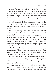I notice off to my right, a half mile from the ferry, fishermen on the far shore casting into the surf. I think about launching my forty-footer at the marina and out to the Gulf Stream. The yellowfin tuna might be running, but even if not, out there on the blue expanse of the ocean, with no land in sight, there is a chance I could get a vacation from *them*.

Or so I've guessed, thinking there might be safety on the open water. On the other hand, I keep an eye on the big guy who spits again over the railing. We will see whether my theory holds true.

Soon I will catch sight of the little harbor at the island, so I decide to wander back to where my Land Rover is sandwiched among the line of other cars, bumper to bumper, on the deck. Like other passengers now, I climb into my vehicle and shut the door and will wait until the ferry eventually docks. I can't see the harbor yet, but eventually the ferry is going to slide to a halt against the big wooden pylons that are roped together and slick with greenish ocean slime.

Then I realize that the driver's-side window of my car is down, instantly followed by a feeling like a slap in the face. That I was right all along. One of the monsters is aboard this ferry and is very close to me. And getting closer.

I turn my head slightly to the left, toward my open car window. Then out of the corner of my eye, I see him. The large man with the dirty denim shirt over his mechanic's jumpsuit who is slowly approaching my car.

A crackling sound comes over the loudspeaker, followed by a voice giving the familiar instruction about starting our vehicles and keeping them in park and how one of the ferrymen in the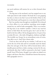tan naval uniforms will motion for us to drive forward when it is time.

The big man in the mechanic's suit has stopped next to my wide-open driver's-side window. His beefy fist is now gripping my door, so close to me that I can see the bristles of hair on the back of his hand, and he grunts in a tone that is deep and feral.

But I see another man through my windshield. He is dressed as a ferry officer, in a tan uniform, marching, arrow-straight, toward my car, and he looks unstoppable. Then, in an instant, the big man at my window vanishes. I look in my rearview mirror to find where the man has gone, but I can't see him. I look for the ferry officer. He has disappeared too. It's part of my everyday life now—this clash of kingdoms, darkness and light. The invisible war. Except, by an extraordinary series of events, I am able to see it. And I have chosen sides.

I lock my door and roll up my window. I will wait in my car for the rest of the ride until we eventually reach the island, when the steel gate of the ferry will be lowered down with a metallic groan and then a clank, creating a runway for the cars, and shortly after that I will be connected to the land. I steady myself. Soon I'll be home, though I now realize my island is no longer a safe haven. But then, I should have known that anyway. Mere geography never is.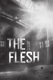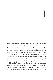1

I was thirteen years old when my father died. His funeral was held in a large stone chapel on the grounds of the cemetery. It was my first face-to-face with death. But it would not be my last. I couldn't put it into words, nor understand it, but somehow the fact that the ceremony was being conducted in a graveyard hit me with an almost tangible image of death. Like a sad fairy tale full of ink drawings about a powerful, pitiless giant standing guard over the land of the dead, while I, hopelessly and haplessly small, shivered in his looming shadow.

My mother's muffled sobs during the service that morning were heartbreaking. Even more than her unceasing wails on the day she'd answered the doorbell and spoken to two men from the foundry. One of the men had taken me into our television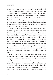room, presumably waiting for my mother to collect herself. When she finally appeared, she sat down next to me and, in a quavering voice that was barely capable of transmitting facts, reminded me that my father had loved me. And then the worst. She told me that he had been killed in an industrial accident. I tried in my own dizzying numbness to console her, but nothing I did seemed to ease the pain. Despite that, she gathered me in her arms and told me, laboring on each word, "We are going to make it." But I didn't see how.

When the funeral service ended, there was a flood of faces that came up to me saying they were sorry about our loss, some familiar to me, many not. A few chose to remind me that at least death had come instantly. "He didn't suffer," I was told. I am sure it was meant to be consolation, tinged with wisdom. But it imparted neither. When you're thirteen, and you know your dead father is lying over there in that burnished wood casket, the proffered wisdom of a grown-up sounds hollow and distant, and the faces of all those strange adults don't register. Except for two faces—the ones that even now connect that day to this one, haunting my memories. I can still see those two faces.

Hoskins Opperdill was one. My father had been a quality control engineer at the Opperdill Foundry, which operated along the banks of the Little Bear River. From the few occasions my father had taken me to the foundry, I remembered it as a place of infernal noise and gargantuan machines. The plant was owned by Hoskins Opperdill, who I had always heard was the richest man in Manitou. I never heard my dad say a negative word against him. After the funeral, Opperdill strode over to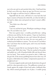me in his suit and tie and starched white shirt. I had heard that he had a son of his own, about my age, but I'd never even seen him. He might as well have lived in a different world.

Opperdill had the stern, stiff look of a man had who had kept to matters of business his whole life, yet when he held out his hand to shake mine and patted my head, I sensed a different side.

"Your father was a fine man."

I nodded.

"I am very sad that he's gone. Would give anything to change that. Do you believe me, son?"

Here was a grown man—a wealthy, powerful man—asking a thirteen-year-old boy for his opinion. I kept my head down at first, hot tears blinding my eyes, and I almost felt ashamed. But while the man's face was stern, his eyes were gentle, so I worked up the boldness to answer. "I'm not sure if I can believe that. I just know that my dad is gone, and it was your foundry where he died."

He gave a sound, like he was clearing his throat. "A straight shooter, huh? Well, that's okay." Then he reached in his pocket and pulled out a roll of hundred-dollar bills and shoved them into my hand. "Your mother's too proud to take it. Make sure she gets this. If the money-grubbing lawyers have their way, it'll be quite a while before the workers' compensation payments are straightened out."

Everyone stepped outside and strode silently down the gravel path for a short graveside service. The pallbearers strained cautiously against the weight of their load under a brilliantly blue sky, which seemed grotesquely out of place. A smaller group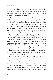gathered around the vacant space that had been dug in the ground. I was given two red roses. One was to put on the coffin while it was still poised at ground level, which I did. The other rose remained clutched in my hand.

The minister droned in vague generalizations about a man he'd never met. I focused on the rose, trying to follow the spiraling of its petals from the outside into the center, then out again. Keeping my mind occupied, steering it away from the raw fact of why I was there. After the service was over, as I stood beside the box containing all that was left of my father, I felt a hand on my shoulder, too heavy to be my mother's. Almost too heavy to be a hand.

I turned my head and started at the sight of Mason Krim, a neighbor of ours who lived in a huge brick house at the end of our block. The word among my neighborhood pals was that Krim had poisoned cats and dogs that had ventured onto his property, supposedly leaving tainted food in bowls on his back stoop for that purpose. But then again, that could have just been urban legend, spread abroad by imaginative teens.

Krim stood hunched over and pointed to my father's casket, which had yet to be lowered into the ground, and spoke. "I know what you're thinking."

Even overloaded and shell-shocked, I still found this statement exceedingly odd.

"You're thinking," he went on, "that's all there is. Dead is dead. Gone." Then he bent toward me, closer to my face, his breath filling my nostrils with the scent of something rotten and barely camouflaged with peppermint. "Just make sure you keep your mind wide open to anything. There's things out there